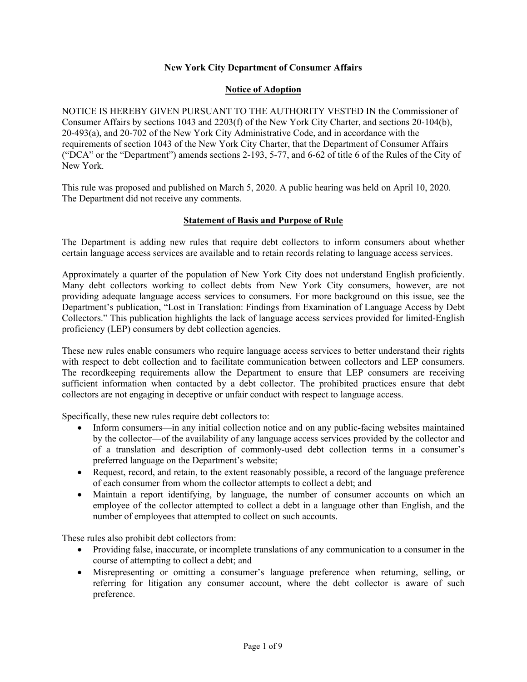# **New York City Department of Consumer Affairs**

## **Notice of Adoption**

NOTICE IS HEREBY GIVEN PURSUANT TO THE AUTHORITY VESTED IN the Commissioner of Consumer Affairs by sections 1043 and 2203(f) of the New York City Charter, and sections 20-104(b), 20-493(a), and 20-702 of the New York City Administrative Code, and in accordance with the requirements of section 1043 of the New York City Charter, that the Department of Consumer Affairs ("DCA" or the "Department") amends sections 2-193, 5-77, and 6-62 of title 6 of the Rules of the City of New York.

This rule was proposed and published on March 5, 2020. A public hearing was held on April 10, 2020. The Department did not receive any comments.

#### **Statement of Basis and Purpose of Rule**

The Department is adding new rules that require debt collectors to inform consumers about whether certain language access services are available and to retain records relating to language access services.

Approximately a quarter of the population of New York City does not understand English proficiently. Many debt collectors working to collect debts from New York City consumers, however, are not providing adequate language access services to consumers. For more background on this issue, see the Department's publication, "Lost in Translation: Findings from Examination of Language Access by Debt Collectors." This publication highlights the lack of language access services provided for limited-English proficiency (LEP) consumers by debt collection agencies.

These new rules enable consumers who require language access services to better understand their rights with respect to debt collection and to facilitate communication between collectors and LEP consumers. The recordkeeping requirements allow the Department to ensure that LEP consumers are receiving sufficient information when contacted by a debt collector. The prohibited practices ensure that debt collectors are not engaging in deceptive or unfair conduct with respect to language access.

Specifically, these new rules require debt collectors to:

- Inform consumers—in any initial collection notice and on any public-facing websites maintained by the collector—of the availability of any language access services provided by the collector and of a translation and description of commonly-used debt collection terms in a consumer's preferred language on the Department's website;
- Request, record, and retain, to the extent reasonably possible, a record of the language preference of each consumer from whom the collector attempts to collect a debt; and
- Maintain a report identifying, by language, the number of consumer accounts on which an employee of the collector attempted to collect a debt in a language other than English, and the number of employees that attempted to collect on such accounts.

These rules also prohibit debt collectors from:

- Providing false, inaccurate, or incomplete translations of any communication to a consumer in the course of attempting to collect a debt; and
- Misrepresenting or omitting a consumer's language preference when returning, selling, or referring for litigation any consumer account, where the debt collector is aware of such preference.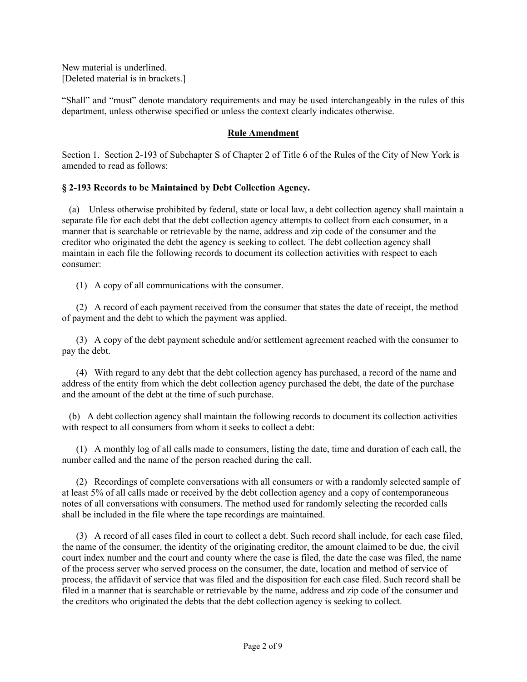New material is underlined. [Deleted material is in brackets.]

"Shall" and "must" denote mandatory requirements and may be used interchangeably in the rules of this department, unless otherwise specified or unless the context clearly indicates otherwise.

## **Rule Amendment**

Section 1. Section 2-193 of Subchapter S of Chapter 2 of Title 6 of the Rules of the City of New York is amended to read as follows:

#### **§ 2-193 Records to be Maintained by Debt Collection Agency.**

 (a) Unless otherwise prohibited by federal, state or local law, a debt collection agency shall maintain a separate file for each debt that the debt collection agency attempts to collect from each consumer, in a manner that is searchable or retrievable by the name, address and zip code of the consumer and the creditor who originated the debt the agency is seeking to collect. The debt collection agency shall maintain in each file the following records to document its collection activities with respect to each consumer:

(1) A copy of all communications with the consumer.

 (2) A record of each payment received from the consumer that states the date of receipt, the method of payment and the debt to which the payment was applied.

 (3) A copy of the debt payment schedule and/or settlement agreement reached with the consumer to pay the debt.

 (4) With regard to any debt that the debt collection agency has purchased, a record of the name and address of the entity from which the debt collection agency purchased the debt, the date of the purchase and the amount of the debt at the time of such purchase.

 (b) A debt collection agency shall maintain the following records to document its collection activities with respect to all consumers from whom it seeks to collect a debt:

 (1) A monthly log of all calls made to consumers, listing the date, time and duration of each call, the number called and the name of the person reached during the call.

 (2) Recordings of complete conversations with all consumers or with a randomly selected sample of at least 5% of all calls made or received by the debt collection agency and a copy of contemporaneous notes of all conversations with consumers. The method used for randomly selecting the recorded calls shall be included in the file where the tape recordings are maintained.

 (3) A record of all cases filed in court to collect a debt. Such record shall include, for each case filed, the name of the consumer, the identity of the originating creditor, the amount claimed to be due, the civil court index number and the court and county where the case is filed, the date the case was filed, the name of the process server who served process on the consumer, the date, location and method of service of process, the affidavit of service that was filed and the disposition for each case filed. Such record shall be filed in a manner that is searchable or retrievable by the name, address and zip code of the consumer and the creditors who originated the debts that the debt collection agency is seeking to collect.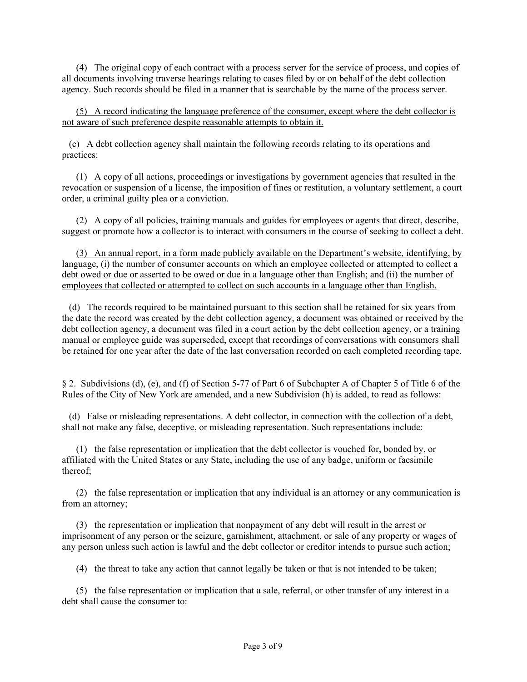(4) The original copy of each contract with a process server for the service of process, and copies of all documents involving traverse hearings relating to cases filed by or on behalf of the debt collection agency. Such records should be filed in a manner that is searchable by the name of the process server.

 (5) A record indicating the language preference of the consumer, except where the debt collector is not aware of such preference despite reasonable attempts to obtain it.

 (c) A debt collection agency shall maintain the following records relating to its operations and practices:

 (1) A copy of all actions, proceedings or investigations by government agencies that resulted in the revocation or suspension of a license, the imposition of fines or restitution, a voluntary settlement, a court order, a criminal guilty plea or a conviction.

 (2) A copy of all policies, training manuals and guides for employees or agents that direct, describe, suggest or promote how a collector is to interact with consumers in the course of seeking to collect a debt.

 (3) An annual report, in a form made publicly available on the Department's website, identifying, by language, (i) the number of consumer accounts on which an employee collected or attempted to collect a debt owed or due or asserted to be owed or due in a language other than English; and (ii) the number of employees that collected or attempted to collect on such accounts in a language other than English.

 (d) The records required to be maintained pursuant to this section shall be retained for six years from the date the record was created by the debt collection agency, a document was obtained or received by the debt collection agency, a document was filed in a court action by the debt collection agency, or a training manual or employee guide was superseded, except that recordings of conversations with consumers shall be retained for one year after the date of the last conversation recorded on each completed recording tape.

§ 2. Subdivisions (d), (e), and (f) of Section 5-77 of Part 6 of Subchapter A of Chapter 5 of Title 6 of the Rules of the City of New York are amended, and a new Subdivision (h) is added, to read as follows:

 (d) False or misleading representations. A debt collector, in connection with the collection of a debt, shall not make any false, deceptive, or misleading representation. Such representations include:

 (1) the false representation or implication that the debt collector is vouched for, bonded by, or affiliated with the United States or any State, including the use of any badge, uniform or facsimile thereof;

 (2) the false representation or implication that any individual is an attorney or any communication is from an attorney;

 (3) the representation or implication that nonpayment of any debt will result in the arrest or imprisonment of any person or the seizure, garnishment, attachment, or sale of any property or wages of any person unless such action is lawful and the debt collector or creditor intends to pursue such action;

(4) the threat to take any action that cannot legally be taken or that is not intended to be taken;

 (5) the false representation or implication that a sale, referral, or other transfer of any interest in a debt shall cause the consumer to: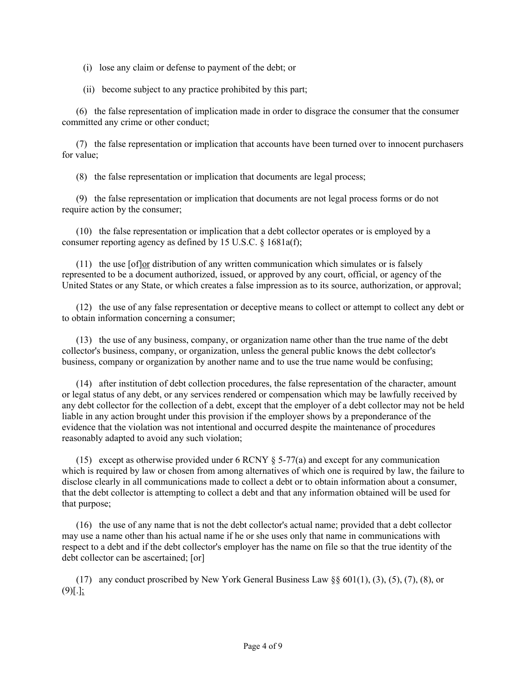- (i) lose any claim or defense to payment of the debt; or
- (ii) become subject to any practice prohibited by this part;

 (6) the false representation of implication made in order to disgrace the consumer that the consumer committed any crime or other conduct;

 (7) the false representation or implication that accounts have been turned over to innocent purchasers for value;

(8) the false representation or implication that documents are legal process;

 (9) the false representation or implication that documents are not legal process forms or do not require action by the consumer;

 (10) the false representation or implication that a debt collector operates or is employed by a consumer reporting agency as defined by 15 U.S.C. § 1681a(f);

 (11) the use [of]or distribution of any written communication which simulates or is falsely represented to be a document authorized, issued, or approved by any court, official, or agency of the United States or any State, or which creates a false impression as to its source, authorization, or approval;

 (12) the use of any false representation or deceptive means to collect or attempt to collect any debt or to obtain information concerning a consumer;

 (13) the use of any business, company, or organization name other than the true name of the debt collector's business, company, or organization, unless the general public knows the debt collector's business, company or organization by another name and to use the true name would be confusing;

 (14) after institution of debt collection procedures, the false representation of the character, amount or legal status of any debt, or any services rendered or compensation which may be lawfully received by any debt collector for the collection of a debt, except that the employer of a debt collector may not be held liable in any action brought under this provision if the employer shows by a preponderance of the evidence that the violation was not intentional and occurred despite the maintenance of procedures reasonably adapted to avoid any such violation;

(15) except as otherwise provided under 6 RCNY  $\S$  5-77(a) and except for any communication which is required by law or chosen from among alternatives of which one is required by law, the failure to disclose clearly in all communications made to collect a debt or to obtain information about a consumer, that the debt collector is attempting to collect a debt and that any information obtained will be used for that purpose;

 (16) the use of any name that is not the debt collector's actual name; provided that a debt collector may use a name other than his actual name if he or she uses only that name in communications with respect to a debt and if the debt collector's employer has the name on file so that the true identity of the debt collector can be ascertained; [or]

 (17) any conduct proscribed by New York General Business Law §§ 601(1), (3), (5), (7), (8), or  $(9)$ [.];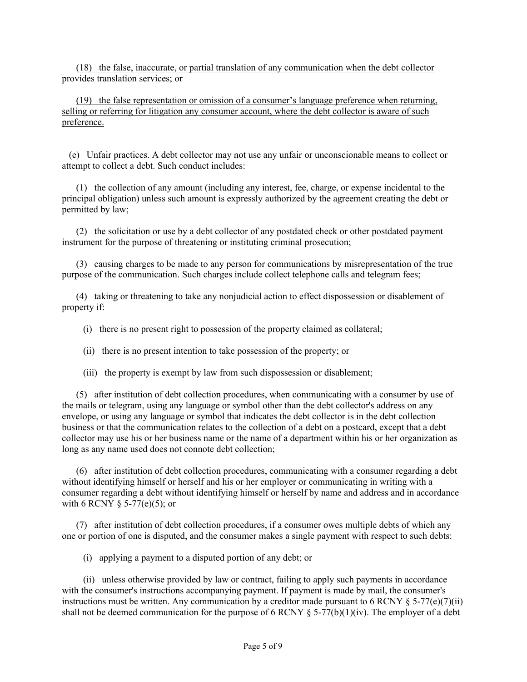(18) the false, inaccurate, or partial translation of any communication when the debt collector provides translation services; or

 (19) the false representation or omission of a consumer's language preference when returning, selling or referring for litigation any consumer account, where the debt collector is aware of such preference.

 (e) Unfair practices. A debt collector may not use any unfair or unconscionable means to collect or attempt to collect a debt. Such conduct includes:

 (1) the collection of any amount (including any interest, fee, charge, or expense incidental to the principal obligation) unless such amount is expressly authorized by the agreement creating the debt or permitted by law;

 (2) the solicitation or use by a debt collector of any postdated check or other postdated payment instrument for the purpose of threatening or instituting criminal prosecution;

 (3) causing charges to be made to any person for communications by misrepresentation of the true purpose of the communication. Such charges include collect telephone calls and telegram fees;

 (4) taking or threatening to take any nonjudicial action to effect dispossession or disablement of property if:

(i) there is no present right to possession of the property claimed as collateral;

(ii) there is no present intention to take possession of the property; or

(iii) the property is exempt by law from such dispossession or disablement;

 (5) after institution of debt collection procedures, when communicating with a consumer by use of the mails or telegram, using any language or symbol other than the debt collector's address on any envelope, or using any language or symbol that indicates the debt collector is in the debt collection business or that the communication relates to the collection of a debt on a postcard, except that a debt collector may use his or her business name or the name of a department within his or her organization as long as any name used does not connote debt collection;

 (6) after institution of debt collection procedures, communicating with a consumer regarding a debt without identifying himself or herself and his or her employer or communicating in writing with a consumer regarding a debt without identifying himself or herself by name and address and in accordance with 6 RCNY  $\S$  5-77(e)(5); or

 (7) after institution of debt collection procedures, if a consumer owes multiple debts of which any one or portion of one is disputed, and the consumer makes a single payment with respect to such debts:

(i) applying a payment to a disputed portion of any debt; or

 (ii) unless otherwise provided by law or contract, failing to apply such payments in accordance with the consumer's instructions accompanying payment. If payment is made by mail, the consumer's instructions must be written. Any communication by a creditor made pursuant to 6 RCNY  $\S$  5-77(e)(7)(ii) shall not be deemed communication for the purpose of 6 RCNY  $\S$  5-77(b)(1)(iv). The employer of a debt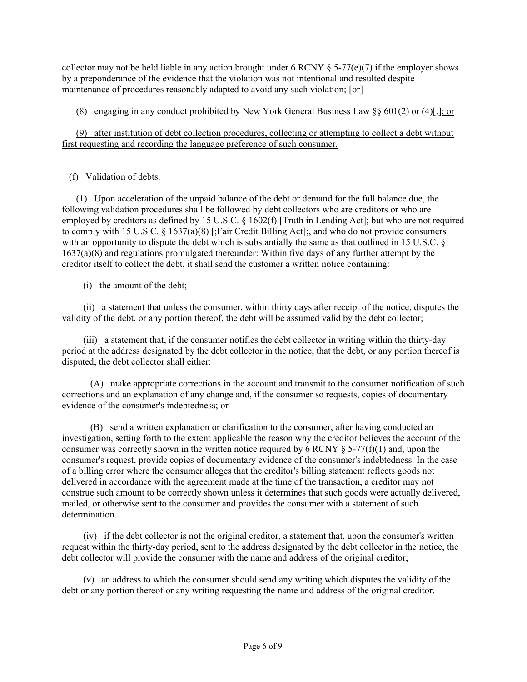collector may not be held liable in any action brought under 6 RCNY  $\S$  5-77(e)(7) if the employer shows by a preponderance of the evidence that the violation was not intentional and resulted despite maintenance of procedures reasonably adapted to avoid any such violation; [or]

(8) engaging in any conduct prohibited by New York General Business Law  $\S$  601(2) or (4)[.]; or

 (9) after institution of debt collection procedures, collecting or attempting to collect a debt without first requesting and recording the language preference of such consumer.

# (f) Validation of debts.

 (1) Upon acceleration of the unpaid balance of the debt or demand for the full balance due, the following validation procedures shall be followed by debt collectors who are creditors or who are employed by creditors as defined by 15 U.S.C. § 1602(f) [Truth in Lending Act]; but who are not required to comply with 15 U.S.C. § 1637(a)(8) [;Fair Credit Billing Act];, and who do not provide consumers with an opportunity to dispute the debt which is substantially the same as that outlined in 15 U.S.C. § 1637(a)(8) and regulations promulgated thereunder: Within five days of any further attempt by the creditor itself to collect the debt, it shall send the customer a written notice containing:

(i) the amount of the debt;

 (ii) a statement that unless the consumer, within thirty days after receipt of the notice, disputes the validity of the debt, or any portion thereof, the debt will be assumed valid by the debt collector;

 (iii) a statement that, if the consumer notifies the debt collector in writing within the thirty-day period at the address designated by the debt collector in the notice, that the debt, or any portion thereof is disputed, the debt collector shall either:

 (A) make appropriate corrections in the account and transmit to the consumer notification of such corrections and an explanation of any change and, if the consumer so requests, copies of documentary evidence of the consumer's indebtedness; or

 (B) send a written explanation or clarification to the consumer, after having conducted an investigation, setting forth to the extent applicable the reason why the creditor believes the account of the consumer was correctly shown in the written notice required by 6 RCNY  $\S$  5-77(f)(1) and, upon the consumer's request, provide copies of documentary evidence of the consumer's indebtedness. In the case of a billing error where the consumer alleges that the creditor's billing statement reflects goods not delivered in accordance with the agreement made at the time of the transaction, a creditor may not construe such amount to be correctly shown unless it determines that such goods were actually delivered, mailed, or otherwise sent to the consumer and provides the consumer with a statement of such determination.

 (iv) if the debt collector is not the original creditor, a statement that, upon the consumer's written request within the thirty-day period, sent to the address designated by the debt collector in the notice, the debt collector will provide the consumer with the name and address of the original creditor;

 (v) an address to which the consumer should send any writing which disputes the validity of the debt or any portion thereof or any writing requesting the name and address of the original creditor.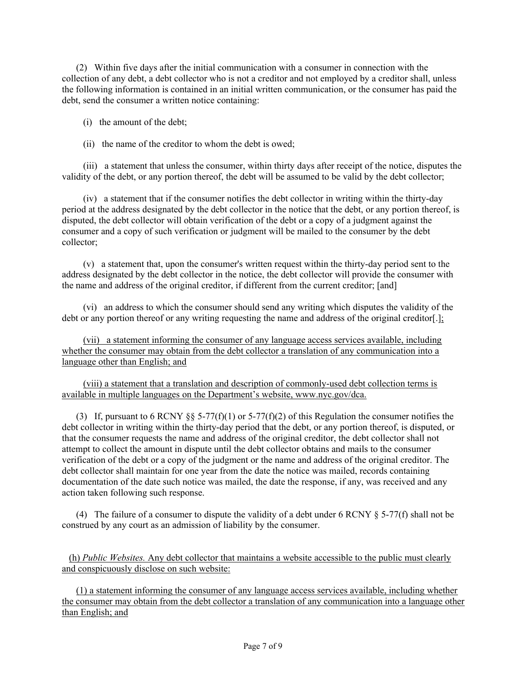(2) Within five days after the initial communication with a consumer in connection with the collection of any debt, a debt collector who is not a creditor and not employed by a creditor shall, unless the following information is contained in an initial written communication, or the consumer has paid the debt, send the consumer a written notice containing:

(i) the amount of the debt;

(ii) the name of the creditor to whom the debt is owed;

 (iii) a statement that unless the consumer, within thirty days after receipt of the notice, disputes the validity of the debt, or any portion thereof, the debt will be assumed to be valid by the debt collector;

 (iv) a statement that if the consumer notifies the debt collector in writing within the thirty-day period at the address designated by the debt collector in the notice that the debt, or any portion thereof, is disputed, the debt collector will obtain verification of the debt or a copy of a judgment against the consumer and a copy of such verification or judgment will be mailed to the consumer by the debt collector;

 (v) a statement that, upon the consumer's written request within the thirty-day period sent to the address designated by the debt collector in the notice, the debt collector will provide the consumer with the name and address of the original creditor, if different from the current creditor; [and]

 (vi) an address to which the consumer should send any writing which disputes the validity of the debt or any portion thereof or any writing requesting the name and address of the original creditor[.];

 (vii) a statement informing the consumer of any language access services available, including whether the consumer may obtain from the debt collector a translation of any communication into a language other than English; and

 (viii) a statement that a translation and description of commonly-used debt collection terms is available in multiple languages on the Department's website, www.nyc.gov/dca.

(3) If, pursuant to 6 RCNY §§ 5-77(f)(1) or 5-77(f)(2) of this Regulation the consumer notifies the debt collector in writing within the thirty-day period that the debt, or any portion thereof, is disputed, or that the consumer requests the name and address of the original creditor, the debt collector shall not attempt to collect the amount in dispute until the debt collector obtains and mails to the consumer verification of the debt or a copy of the judgment or the name and address of the original creditor. The debt collector shall maintain for one year from the date the notice was mailed, records containing documentation of the date such notice was mailed, the date the response, if any, was received and any action taken following such response.

(4) The failure of a consumer to dispute the validity of a debt under 6 RCNY § 5-77(f) shall not be construed by any court as an admission of liability by the consumer.

 (h) *Public Websites.* Any debt collector that maintains a website accessible to the public must clearly and conspicuously disclose on such website:

 (1) a statement informing the consumer of any language access services available, including whether the consumer may obtain from the debt collector a translation of any communication into a language other than English; and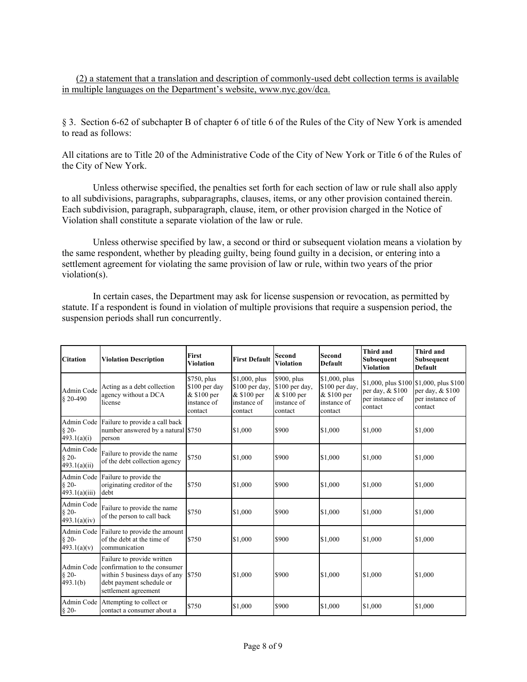(2) a statement that a translation and description of commonly-used debt collection terms is available in multiple languages on the Department's website, www.nyc.gov/dca.

§ 3. Section 6-62 of subchapter B of chapter 6 of title 6 of the Rules of the City of New York is amended to read as follows:

All citations are to Title 20 of the Administrative Code of the City of New York or Title 6 of the Rules of the City of New York.

Unless otherwise specified, the penalties set forth for each section of law or rule shall also apply to all subdivisions, paragraphs, subparagraphs, clauses, items, or any other provision contained therein. Each subdivision, paragraph, subparagraph, clause, item, or other provision charged in the Notice of Violation shall constitute a separate violation of the law or rule.

Unless otherwise specified by law, a second or third or subsequent violation means a violation by the same respondent, whether by pleading guilty, being found guilty in a decision, or entering into a settlement agreement for violating the same provision of law or rule, within two years of the prior violation(s).

In certain cases, the Department may ask for license suspension or revocation, as permitted by statute. If a respondent is found in violation of multiple provisions that require a suspension period, the suspension periods shall run concurrently.

| <b>Citation</b>                       | <b>Violation Description</b>                                                                                                                    | <b>First</b><br><b>Violation</b>                                       | <b>First Default</b>                                                     | <b>Second</b><br>Violation                                             | <b>Second</b><br><b>Default</b>                                          | <b>Third and</b><br>Subsequent<br><b>Violation</b> | Third and<br>Subsequent<br>Default                                                         |
|---------------------------------------|-------------------------------------------------------------------------------------------------------------------------------------------------|------------------------------------------------------------------------|--------------------------------------------------------------------------|------------------------------------------------------------------------|--------------------------------------------------------------------------|----------------------------------------------------|--------------------------------------------------------------------------------------------|
| Admin Code<br>$$20-490$               | Acting as a debt collection<br>agency without a DCA<br>license                                                                                  | \$750, plus<br>$$100$ per day<br>& \$100 per<br>instance of<br>contact | \$1,000, plus<br>\$100 per day,<br>& \$100 per<br>instance of<br>contact | \$900, plus<br>\$100 per day,<br>& \$100 per<br>instance of<br>contact | \$1,000, plus<br>\$100 per day,<br>& \$100 per<br>instance of<br>contact | per day, & \$100<br>per instance of<br>contact     | \$1,000, plus \$100 \\$1,000, plus \$100<br>per day, & \$100<br>per instance of<br>contact |
| $§ 20-$<br>493.1(a)(i)                | Admin Code Failure to provide a call back<br>number answered by a natural \$750<br>person                                                       |                                                                        | \$1,000                                                                  | \$900                                                                  | \$1,000                                                                  | \$1,000                                            | \$1,000                                                                                    |
| Admin Code<br>$§ 20-$<br>493.1(a)(ii) | Failure to provide the name<br>of the debt collection agency                                                                                    | \$750                                                                  | \$1,000                                                                  | \$900                                                                  | \$1,000                                                                  | \$1,000                                            | \$1,000                                                                                    |
| $§ 20-$<br>493.1(a)(iii)              | Admin Code Failure to provide the<br>originating creditor of the<br>debt                                                                        | \$750                                                                  | \$1,000                                                                  | \$900                                                                  | \$1,000                                                                  | \$1,000                                            | \$1,000                                                                                    |
| Admin Code<br>$§ 20-$<br>493.1(a)(iv) | Failure to provide the name<br>of the person to call back                                                                                       | \$750                                                                  | \$1,000                                                                  | \$900                                                                  | \$1,000                                                                  | \$1,000                                            | \$1,000                                                                                    |
| $§$ 20-<br>493.1(a)(v)                | Admin Code Failure to provide the amount<br>of the debt at the time of<br>communication                                                         | \$750                                                                  | \$1,000                                                                  | \$900                                                                  | \$1,000                                                                  | \$1,000                                            | \$1,000                                                                                    |
| Admin Code<br>$§ 20-$<br>493.1(b)     | Failure to provide written<br>confirmation to the consumer<br>within 5 business days of any<br>debt payment schedule or<br>settlement agreement | \$750                                                                  | \$1,000                                                                  | \$900                                                                  | \$1,000                                                                  | \$1,000                                            | \$1,000                                                                                    |
| $\S$ 20-                              | Admin Code Attempting to collect or<br>contact a consumer about a                                                                               | \$750                                                                  | \$1,000                                                                  | \$900                                                                  | \$1,000                                                                  | \$1,000                                            | \$1,000                                                                                    |